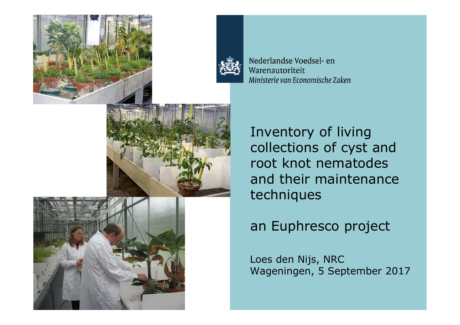



Nederlandse Voedsel- en Warenautoriteit Ministerie van Economische Zaken



Inventory of living collections of cyst and<br>root knot nematodes root knot nematodesand their maintenance<br>techniques techniques



Loes den Nijs, NRCWageningen, 5 September 2017

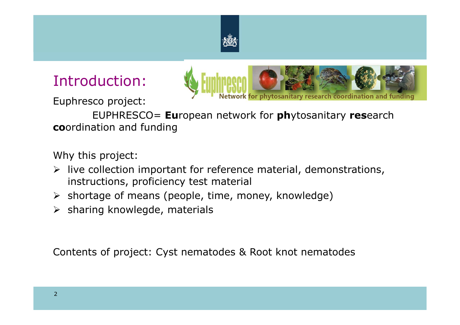

### Introduction:

Euphresco project:



EUPHRESCO= **Eu**ropean network for **ph**ytosanitary **res**earch **co**ordination and funding

Why this project:

- $\triangleright$  live collection important for reference material, demonstrations,<br>instructions, proficiency test material instructions, proficiency test material
- > shortage of means (people, time, money, knowledge)
- $\triangleright$  sharing knowlegde, materials

Contents of project: Cyst nematodes & Root knot nematodes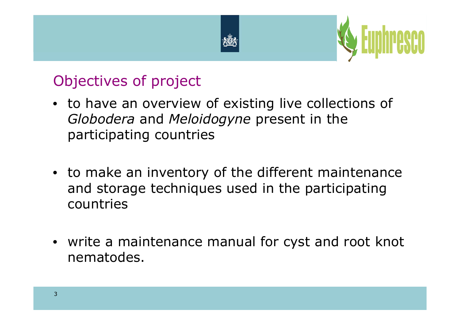



### Objectives of project

- to have an overview of existing live collections of*Globodera* and *Meloidogyne* present in the participating countries
- to make an inventory of the different maintenance and storage techniques used in the participating countries
- write a maintenance manual for cyst and root knot nematodes.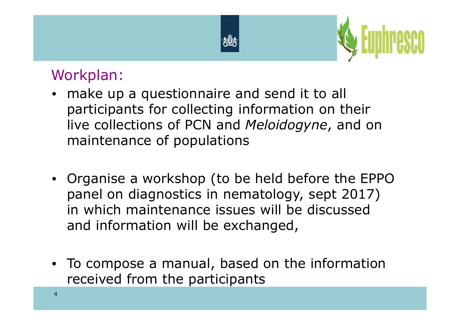



### Workplan:

- make up a questionnaire and send it to all participants for collecting information on their live collections of PCN and *Meloidogyne*, and on maintenance of populations
- Organise a workshop (to be held before the EPPO panel on diagnostics in nematology, sept 2017) in which maintenance issues will be discussed and information will be exchanged,
- To compose a manual, based on the information received from the participants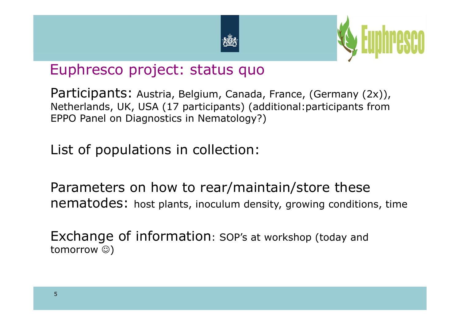



### Euphresco project: status quo

Participants: Austria, Belgium, Canada, France, (Germany (2x)), Netherlands, UK, USA (17 participants) (additional:participants from EPPO Panel on Diagnostics in Nematology?)

List of populations in collection:

Parameters on how to rear/maintain/store these<br>nematodes: bost plants, inoculum density, growing conditions nematodes: host plants, inoculum density, growing conditions, time

Exchange of information: SOP's at workshop (today and tomorrow ☺)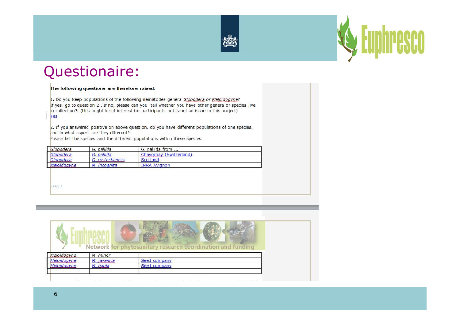



#### Questionaire:

#### The following questions are therefore raised: 1. Do you keep populations of the following nematodes genera Globodera or Meloidogyne? If yes, go to question 2. If no, please can you tell whether you have other genera or species live in collection?. (this might be of interest for participants but is not an issue in this project) Yes 2. If you answered positive on above question, do you have different populations of one species, and in what aspect are they different? Please list the species and the different populations within these species: Globodera G. pallida G. pallida from .... Globodera G. pallida Chavornay (Switzerland) Globodera G. rostochiensis Scotland Meloidogyne M. incognita **INRA Avignon** pag. 1

| Network for phytosanitary research coordination and funding |  |
|-------------------------------------------------------------|--|
| M. minor<br>Meloidogyne                                     |  |
| Meloidogyne<br>M. javanica<br>Seed company                  |  |
| Meloidogyne<br>M. hapla<br>Seed company                     |  |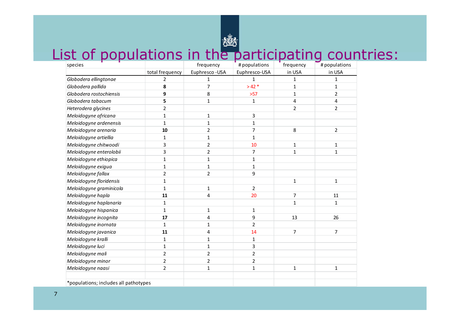# List of populations in the participating countries:

| species                               |                 | frequency      | # populations  | frequency      | # populations  |
|---------------------------------------|-----------------|----------------|----------------|----------------|----------------|
|                                       | total frequency | Euphresco-USA  | Euphresco-USA  | in USA         | in USA         |
| Globodera ellingtonae                 | $\overline{2}$  | 1              | $\mathbf{1}$   | 1              | 1              |
| Globodera pallida                     | 8               | 7              | $>42*$         | $\mathbf{1}$   | 1              |
| Globodera rostochiensis               | 9               | 8              | $>57$          | 1              | $\overline{2}$ |
| Globodera tabacum                     | 5               | 1              | $\mathbf{1}$   | 4              | 4              |
| Heterodera glycines                   | $\overline{2}$  |                |                | $\overline{2}$ | $\overline{2}$ |
| Meloidogyne africana                  | $\mathbf{1}$    | 1              | 3              |                |                |
| Meloidogyne ardenensis                | $\mathbf{1}$    | $\mathbf{1}$   | 1              |                |                |
| Meloidogyne arenaria                  | 10              | 2              | 7              | 8              | $\overline{2}$ |
| Meloidogyne artiellia                 | $\mathbf{1}$    | 1              | $\mathbf{1}$   |                |                |
| Meloidogyne chitwoodi                 | 3               | 2              | 10             | $\mathbf{1}$   | $\mathbf{1}$   |
| Meloidogyne enterolobii               | 3               | $\overline{2}$ | 7              | $\mathbf{1}$   | $\mathbf{1}$   |
| Meloidogyne ethiopica                 | $\mathbf{1}$    | $\mathbf{1}$   | 1              |                |                |
| Meloidogyne exigua                    | $\mathbf{1}$    | 1              | $\mathbf{1}$   |                |                |
| Meloidogyne fallax                    | 2               | $\overline{2}$ | 9              |                |                |
| Meloidogyne floridensis               | $\mathbf{1}$    |                |                | $\mathbf{1}$   | $\mathbf{1}$   |
| Meloidogyne graminicola               | $\mathbf{1}$    | 1              | 2              |                |                |
| Meloidogyne hapla                     | 11              | 4              | 20             | 7              | 11             |
| Meloidogyne haplanaria                | 1               |                |                | $\mathbf{1}$   | 1              |
| Meloidogyne hispanica                 | $\mathbf{1}$    | 1              | $\mathbf{1}$   |                |                |
| Meloidogyne incognita                 | 17              | 4              | 9              | 13             | 26             |
| Meloidogyne inornata                  | $\mathbf{1}$    | 1              | $\overline{2}$ |                |                |
| Meloidogyne javanica                  | 11              | 4              | 14             | $\overline{7}$ | $\overline{7}$ |
| Meloidogyne kralli                    | $\mathbf{1}$    | 1              | $\mathbf{1}$   |                |                |
| Meloidogyne luci                      | $\mathbf{1}$    | 1              | 3              |                |                |
| Meloidogyne mali                      | $\overline{2}$  | 2              | 2              |                |                |
| Meloidogyne minor                     | $\overline{2}$  | $\overline{2}$ | $\overline{c}$ |                |                |
| Meloidogyne naasi                     | $\overline{2}$  | 1              | $\mathbf{1}$   | 1              | 1              |
|                                       |                 |                |                |                |                |
| *populations; includes all pathotypes |                 |                |                |                |                |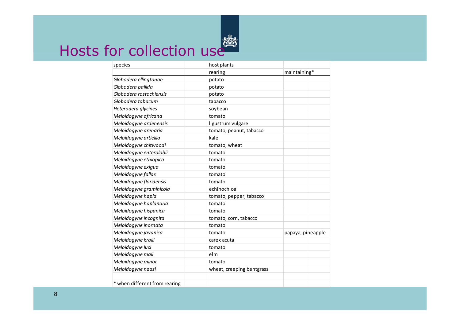

### Hosts for collection use

| species                       | host plants               |                   |
|-------------------------------|---------------------------|-------------------|
|                               | rearing                   | maintaining*      |
| Globodera ellingtonae         | potato                    |                   |
| Globodera pallida             | potato                    |                   |
| Globodera rostochiensis       | potato                    |                   |
| Globodera tabacum             | tabacco                   |                   |
| Heterodera glycines           | soybean                   |                   |
| Meloidogyne africana          | tomato                    |                   |
| Meloidogyne ardenensis        | ligustrum vulgare         |                   |
| Meloidogyne arenaria          | tomato, peanut, tabacco   |                   |
| Meloidogyne artiellia         | kale                      |                   |
| Meloidogyne chitwoodi         | tomato, wheat             |                   |
| Meloidogyne enterolobii       | tomato                    |                   |
| Meloidogyne ethiopica         | tomato                    |                   |
| Meloidogyne exigua            | tomato                    |                   |
| Meloidogyne fallax            | tomato                    |                   |
| Meloidogyne floridensis       | tomato                    |                   |
| Meloidogyne graminicola       | echinochloa               |                   |
| Meloidogyne hapla             | tomato, pepper, tabacco   |                   |
| Meloidogyne haplanaria        | tomato                    |                   |
| Meloidogyne hispanica         | tomato                    |                   |
| Meloidogyne incognita         | tomato, corn, tabacco     |                   |
| Meloidogyne inornata          | tomato                    |                   |
| Meloidogyne javanica          | tomato                    | papaya, pineapple |
| Meloidogyne kralli            | carex acuta               |                   |
| Meloidogyne luci              | tomato                    |                   |
| Meloidogyne mali              | elm                       |                   |
| Meloidogyne minor             | tomato                    |                   |
| Meloidogyne naasi             | wheat, creeping bentgrass |                   |
| * when different from rearing |                           |                   |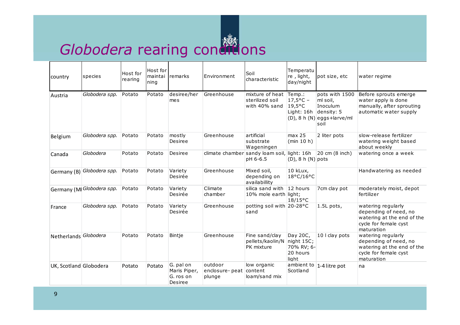

## *Globodera* rearing conditions

| country                | species                    | Host for<br>rearing | Host for<br>maintai<br>ning | <b>I</b> remarks                                  | Environment                                 | Soil<br>characteristic                                      | Temperatu<br>re, light,<br>day/night                            | lpot size, etc                                                                      | water regime                                                                                                     |
|------------------------|----------------------------|---------------------|-----------------------------|---------------------------------------------------|---------------------------------------------|-------------------------------------------------------------|-----------------------------------------------------------------|-------------------------------------------------------------------------------------|------------------------------------------------------------------------------------------------------------------|
| Austria                | Globodera spp.             | Potato              | Potato                      | desiree/her<br>mes                                | Greenhouse                                  | mixture of heat Temp.:<br>sterilized soil<br>with 40% sand  | $17,5^{\circ}$ C –<br>$19,5^{\circ}$ C<br>Light: 16h density: 5 | pots with 1500<br>ml soil,<br>Inoculum<br>$(D)$ , 8 h $(N)$ eggs + larve/ml<br>soil | Before sprouts emerge<br>water apply is done<br>manually, after sprouting<br>automatic water supply              |
| Belgium                | Globodera spp.             | Potato              | Potato                      | mostly<br>Desiree                                 | Greenhouse                                  | artificial<br>substrate<br>Wageningen                       | max 25<br>(min 10 h)                                            | 2 liter pots                                                                        | slow-release fertilizer<br>watering weight based<br>about weekly                                                 |
| Canada                 | Globodera                  | Potato              | Potato                      | Desiree                                           |                                             | climate chamber sandy loam soil, light: 16h<br>pH 6-6.5     | $(D)$ , 8 h $(N)$ pots                                          | $ 20 \text{ cm}$ (8 inch)                                                           | watering once a week                                                                                             |
| Germany (B)            | Globodera spp.             | Potato              | Potato                      | Variety<br>Desirée                                | Greenhouse                                  | Mixed soil,<br>depending on<br>availabillity                | 10 kLux,<br>18°C/16°C                                           |                                                                                     | Handwatering as needed                                                                                           |
|                        | Germany (MI Globodera spp. | Potato              | Potato                      | Variety<br>Desirée                                | Climate<br>chamber                          | silica sand with $ 12$ hours<br>10% mole earth light;       | $18/15$ °C                                                      | 7cm clay pot                                                                        | moderately moist, depot<br>fertilizer                                                                            |
| France                 | Globodera spp.             | Potato              | Potato                      | Variety<br>Desirée                                | Greenhouse                                  | potting soil with 20-28°C<br>sand                           |                                                                 | 1.5L pots,                                                                          | watering regularly<br>depending of need, no<br>watering at the end of the<br>cycle for female cyst<br>maturation |
| Netherlands Globodera  |                            | Potato              | Potato                      | Bintje                                            | Greenhouse                                  | Fine sand/clay<br>pellets/kaolin/N night 15C;<br>PK mixture | Day 20C,<br>70% RV; 6-<br>20 hours<br>light                     | 10 I clay pots                                                                      | watering regularly<br>depending of need, no<br>watering at the end of the<br>cycle for female cyst<br>maturation |
| UK, Scotland Globodera |                            | Potato              | Potato                      | G. pal on<br>Maris Piper,<br>G. ros on<br>Desiree | outdoor<br>enclosure-peat content<br>plunge | low organic<br>loam/sand mix                                | Scotland                                                        | ambient to  1-4 litre pot                                                           | na                                                                                                               |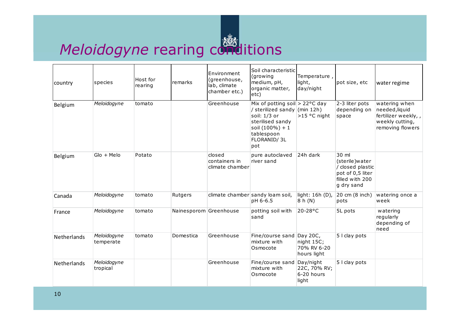

### Meloidogyne rearing conditions

| country            | species                  | Host for<br>rearing | remarks                | Environment<br>(greenhouse,<br>lab, climate<br>chamber etc.) | Soil characteristic<br>(growing<br>medium, pH,<br>organic matter,<br>etc)                                                                                              | Temperature,<br>light,<br>day/night      | pot size, etc                                                                                     | water regime                                                                                  |
|--------------------|--------------------------|---------------------|------------------------|--------------------------------------------------------------|------------------------------------------------------------------------------------------------------------------------------------------------------------------------|------------------------------------------|---------------------------------------------------------------------------------------------------|-----------------------------------------------------------------------------------------------|
| Belgium            | Meloidogyne              | tomato              |                        | Greenhouse                                                   | Mix of potting soil $> 22^{\circ}$ C day<br>/ sterilized sandy (min 12h)<br>soil: 1/3 or<br>sterilised sandy<br>soil $(100\%) + 1$<br>tablespoon<br>FLORANID/3L<br>pot | >15 °C night                             | 2-3 liter pots<br>depending on<br>space                                                           | watering when<br>needed, liquid<br>fertilizer weekly,,<br>weekly cutting,<br>removing flowers |
| Belgium            | $GIo + Melo$             | Potato              |                        | closed<br>containers in<br>climate chamber                   | pure autoclaved<br>river sand                                                                                                                                          | 24h dark                                 | 30 ml<br>(sterile) water<br>/ closed plastic<br>pot of 0,5 liter<br>filled with 200<br>g dry sand |                                                                                               |
| Canada             | Meloidogyne              | tomato              | Rutgers                |                                                              | climate chamber sandy loam soil,<br>pH 6-6.5                                                                                                                           | light: 16h (D),<br>8 h(N)                | 20 cm (8 inch)<br>pots                                                                            | watering once a<br>week                                                                       |
| France             | Meloidogyne              | tomato              | Nainesporom Greenhouse |                                                              | potting soil with<br>sand                                                                                                                                              | 20-28°C                                  | 5L pots                                                                                           | watering<br>regularly<br>depending of<br>need                                                 |
| Netherlands        | Meloidogyne<br>temperate | tomato              | Domestica              | Greenhouse                                                   | Fine/course sand Day 20C,<br>mixture with<br>Osmocote                                                                                                                  | night 15C;<br>70% RV 6-20<br>hours light | 5 I clay pots                                                                                     |                                                                                               |
| <b>Netherlands</b> | Meloidogyne<br>tropical  |                     |                        | Greenhouse                                                   | Fine/course sand Day/night<br>mixture with<br>Osmocote                                                                                                                 | 22C, 70% RV;<br>6-20 hours<br>light      | 5 I clay pots                                                                                     |                                                                                               |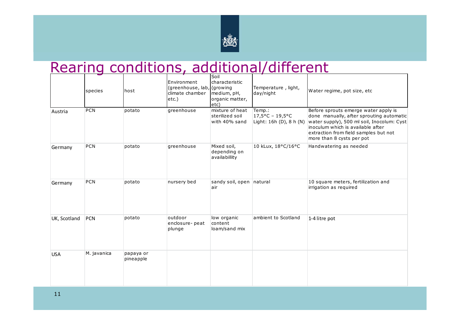

## Rearing conditions, additional/different

|              | species     | host                   | Environment<br>(greenhouse, lab, (growing<br>climate chamber<br>etc.) | Soil<br>characteristic<br>medium, pH,<br>organic matter,<br>etc) | Temperature, light,<br>day/night                               | Water regime, pot size, etc                                                                                                                                                                                                               |
|--------------|-------------|------------------------|-----------------------------------------------------------------------|------------------------------------------------------------------|----------------------------------------------------------------|-------------------------------------------------------------------------------------------------------------------------------------------------------------------------------------------------------------------------------------------|
| Austria      | PCN         | potato                 | greenhouse                                                            | mixture of heat<br>sterilized soil<br>with 40% sand              | Temp.:<br>$17,5^{\circ}$ C - 19,5°C<br>Light: 16h (D), 8 h (N) | Before sprouts emerge water apply is<br>done manually, after sprouting automatic<br>water supply), 500 ml soil, Inocolum: Cyst<br>inoculum which is available after<br>extraction from field samples but not<br>more than 8 cysts per pot |
| Germany      | PCN         | potato                 | greenhouse                                                            | Mixed soil,<br>depending on<br>availabillity                     | 10 kLux, 18°C/16°C                                             | Handwatering as needed                                                                                                                                                                                                                    |
| Germany      | PCN         | potato                 | nursery bed                                                           | sandy soil, open natural<br>air                                  |                                                                | 10 square meters, fertilization and<br>irrigation as required                                                                                                                                                                             |
| UK, Scotland | PCN         | potato                 | outdoor<br>enclosure-peat<br>plunge                                   | low organic<br>content<br>loam/sand mix                          | ambient to Scotland                                            | 1-4 litre pot                                                                                                                                                                                                                             |
| <b>USA</b>   | M. javanica | papaya or<br>pineapple |                                                                       |                                                                  |                                                                |                                                                                                                                                                                                                                           |

11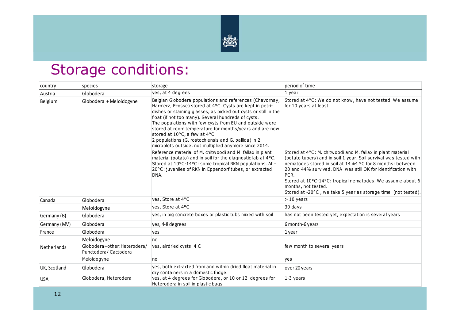

### Storage conditions:

| country            | species                                             | storage                                                                                                                                                                                                                                                                                                                                                                                                                                                                                                                 | period of time                                                                                                                                                                                                                                                                                                                                                                                                                |
|--------------------|-----------------------------------------------------|-------------------------------------------------------------------------------------------------------------------------------------------------------------------------------------------------------------------------------------------------------------------------------------------------------------------------------------------------------------------------------------------------------------------------------------------------------------------------------------------------------------------------|-------------------------------------------------------------------------------------------------------------------------------------------------------------------------------------------------------------------------------------------------------------------------------------------------------------------------------------------------------------------------------------------------------------------------------|
| Austria            | Globodera                                           | yes, at 4 degrees                                                                                                                                                                                                                                                                                                                                                                                                                                                                                                       | 1 year                                                                                                                                                                                                                                                                                                                                                                                                                        |
| Belgium            | Globodera + Meloidogyne                             | Belgian Globodera populations and references (Chavornay,<br>Harmerz, Ecosse) stored at 4°C. Cysts are kept in petri-<br>dishes or staining glasses, as picked out cysts or still in the<br>float (if not too many). Several hundreds of cysts.<br>The populations with few cysts from EU and outside were<br>stored at room temperature for months/years and are now<br>stored at 10°C, a few at 4°C.<br>2 populations (G. rostochiensis and G. pallida) in 2<br>microplots outside, not multiplied anymore since 2014. | Stored at 4°C: We do not know, have not tested. We assume<br>for 10 years at least.                                                                                                                                                                                                                                                                                                                                           |
|                    |                                                     | Reference material of M. chitwoodi and M. fallax in plant<br>material (potato) and in soil for the diagnostic lab at 4°C.<br>Stored at 10°C-14°C: some tropical RKN populations. At -<br>20°C: juveniles of RKN in Eppendorf tubes, or extracted<br>DNA.                                                                                                                                                                                                                                                                | Stored at 4°C: M. chitwoodi and M. fallax in plant material<br>(potato tubers) and in soil 1 year. Soil survival was tested with<br>nematodes stored in soil at 14 ±4 °C for 8 months: between<br>20 and 44% survived. DNA was still OK for identification with<br>PCR.<br>Stored at 10°C-14°C: tropical nematodes. We assume about 6<br>months, not tested.<br>Stored at -20°C, we take 5 year as storage time (not tested). |
| Canada             | Globodera                                           | yes, Store at 4°C                                                                                                                                                                                                                                                                                                                                                                                                                                                                                                       | $>10$ years                                                                                                                                                                                                                                                                                                                                                                                                                   |
|                    | Meloidogyne                                         | yes, Store at 4°C                                                                                                                                                                                                                                                                                                                                                                                                                                                                                                       | 30 days                                                                                                                                                                                                                                                                                                                                                                                                                       |
| Germany (B)        | Globodera                                           | yes, in big concrete boxes or plastic tubs mixed with soil                                                                                                                                                                                                                                                                                                                                                                                                                                                              | has not been tested yet, expectation is several years                                                                                                                                                                                                                                                                                                                                                                         |
| Germany (MV)       | Globodera                                           | yes, 4-8 degrees                                                                                                                                                                                                                                                                                                                                                                                                                                                                                                        | 6 month-6 years                                                                                                                                                                                                                                                                                                                                                                                                               |
| France             | Globodera                                           | yes                                                                                                                                                                                                                                                                                                                                                                                                                                                                                                                     | 1 year                                                                                                                                                                                                                                                                                                                                                                                                                        |
|                    | Meloidogyne                                         | no                                                                                                                                                                                                                                                                                                                                                                                                                                                                                                                      |                                                                                                                                                                                                                                                                                                                                                                                                                               |
| <b>Netherlands</b> | Globodera+other:Heterodera/<br>Punctodera/Cactodera | yes, airdried cysts 4 C                                                                                                                                                                                                                                                                                                                                                                                                                                                                                                 | few month to several years                                                                                                                                                                                                                                                                                                                                                                                                    |
|                    | Meloidogyne                                         | no                                                                                                                                                                                                                                                                                                                                                                                                                                                                                                                      | yes                                                                                                                                                                                                                                                                                                                                                                                                                           |
| UK, Scotland       | Globodera                                           | yes, both extracted from and within dried float material in<br>dry containers in a domestic fridge.                                                                                                                                                                                                                                                                                                                                                                                                                     | over 20 years                                                                                                                                                                                                                                                                                                                                                                                                                 |
| <b>USA</b>         | Globodera, Heterodera                               | yes, at 4 degrees for Globodera, or 10 or 12 degrees for<br>Heterodera in soil in plastic bags                                                                                                                                                                                                                                                                                                                                                                                                                          | 1-3 years                                                                                                                                                                                                                                                                                                                                                                                                                     |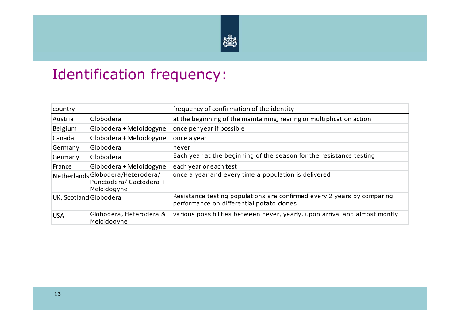

### Identification frequency:

| country                |                                                                            | frequency of confirmation of the identity                                                                            |
|------------------------|----------------------------------------------------------------------------|----------------------------------------------------------------------------------------------------------------------|
| Austria                | Globodera                                                                  | at the beginning of the maintaining, rearing or multiplication action                                                |
| Belgium                | Globodera + Meloidogyne                                                    | once per year if possible                                                                                            |
| Canada                 | Globodera + Meloidogyne                                                    | once a year                                                                                                          |
| Germany                | Globodera                                                                  | never                                                                                                                |
| Germany                | Globodera                                                                  | Each year at the beginning of the season for the resistance testing                                                  |
| France                 | Globodera + Meloidogyne                                                    | each year or each test                                                                                               |
|                        | Netherlands Globodera/Heterodera/<br>Punctodera/Cactodera +<br>Meloidogyne | once a year and every time a population is delivered                                                                 |
| UK, Scotland Globodera |                                                                            | Resistance testing populations are confirmed every 2 years by comparing<br>performance on differential potato clones |
| <b>USA</b>             | Globodera, Heterodera &<br>Meloidogyne                                     | various possibilities between never, yearly, upon arrival and almost montly                                          |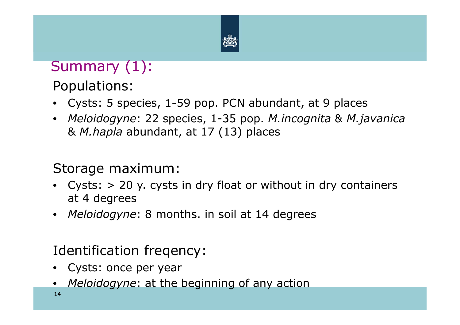

### Summary (1):

Populations:

- Cysts: 5 species, 1-59 pop. PCN abundant, at 9 places
- *Meloidogyne*: 22 species, 1-35 pop. *M.incognita* & *M.javanica* & *M.hapla* abundant, at 17 (13) places

#### Storage maximum:

- Cysts: > 20 y. cysts in dry float or without in dry containers at 4 degrees
- *Meloidogyne*: 8 months. in soil at 14 degrees

### Identification freqency:

- Cysts: once per year<br>• Meleidesuper at the
- •*Meloidogyne*: at the beginning of any action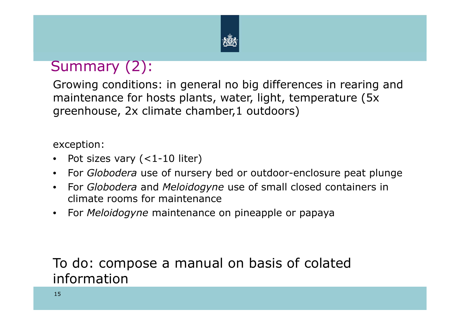

### Summary (2):

Growing conditions: in general no big differences in rearing and maintenance for hosts plants, water, light, temperature (5x greenhouse, 2x climate chamber,1 outdoors)

exception:

- $\bullet$ Pot sizes vary (<1-10 liter)
- For *Globodera* use of nursery bed or outdoor-enclosure peat plunge
- For *Globodera* and *Meloidogyne* use of small closed containers in climate rooms for maintenance
- $\bullet$ For *Meloidogyne* maintenance on pineapple or papaya

To do: compose a manual on basis of colated information